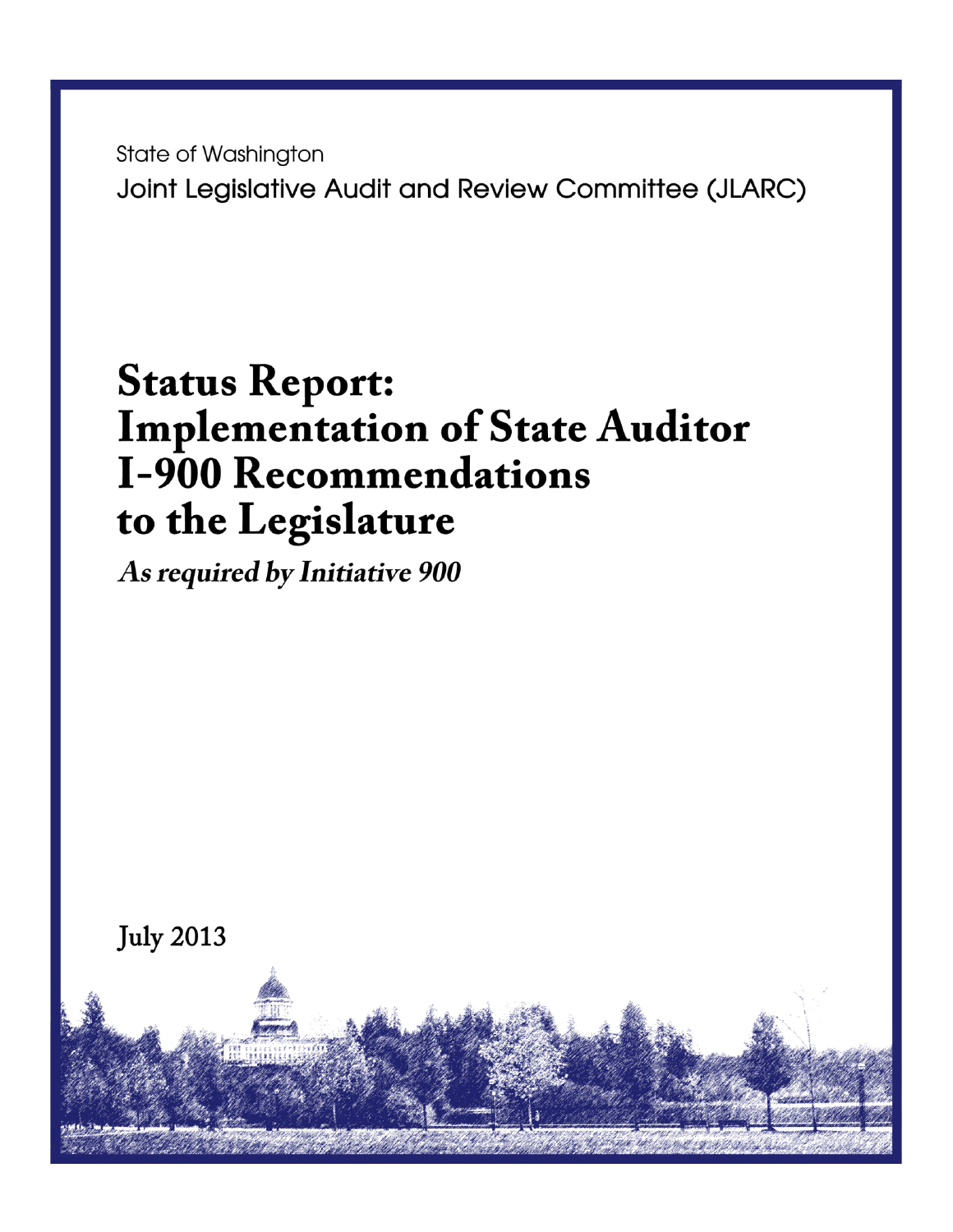**State of Washington** Joint Legislative Audit and Review Committee (JLARC)

# **Status Report:** Implementation of State Auditor<br>I-900 Recommendations to the Legislature

As required by Initiative 900

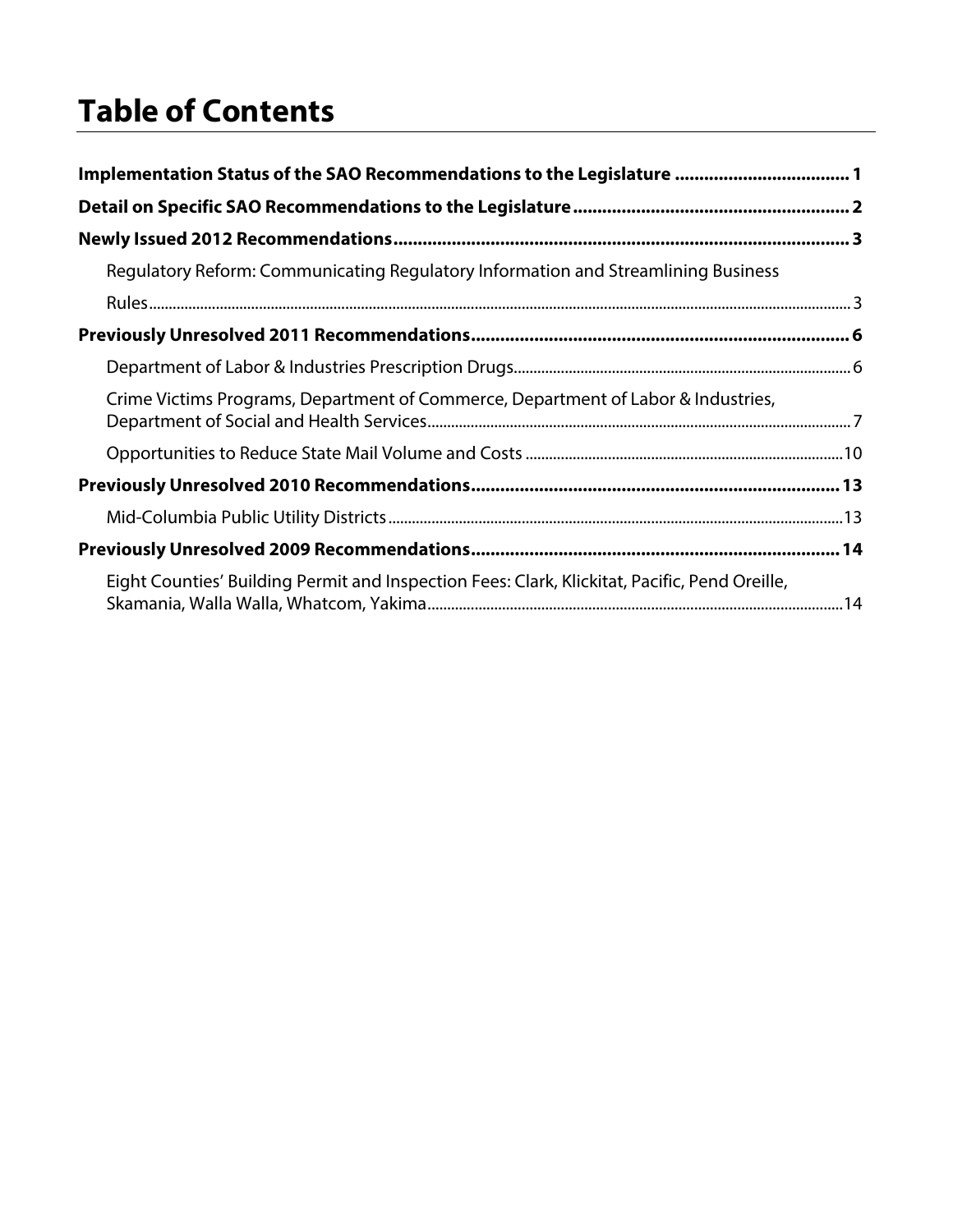## **Table of Contents**

| Implementation Status of the SAO Recommendations to the Legislature  1                        |  |
|-----------------------------------------------------------------------------------------------|--|
|                                                                                               |  |
|                                                                                               |  |
| Regulatory Reform: Communicating Regulatory Information and Streamlining Business             |  |
|                                                                                               |  |
|                                                                                               |  |
|                                                                                               |  |
| Crime Victims Programs, Department of Commerce, Department of Labor & Industries,             |  |
|                                                                                               |  |
|                                                                                               |  |
|                                                                                               |  |
|                                                                                               |  |
| Eight Counties' Building Permit and Inspection Fees: Clark, Klickitat, Pacific, Pend Oreille, |  |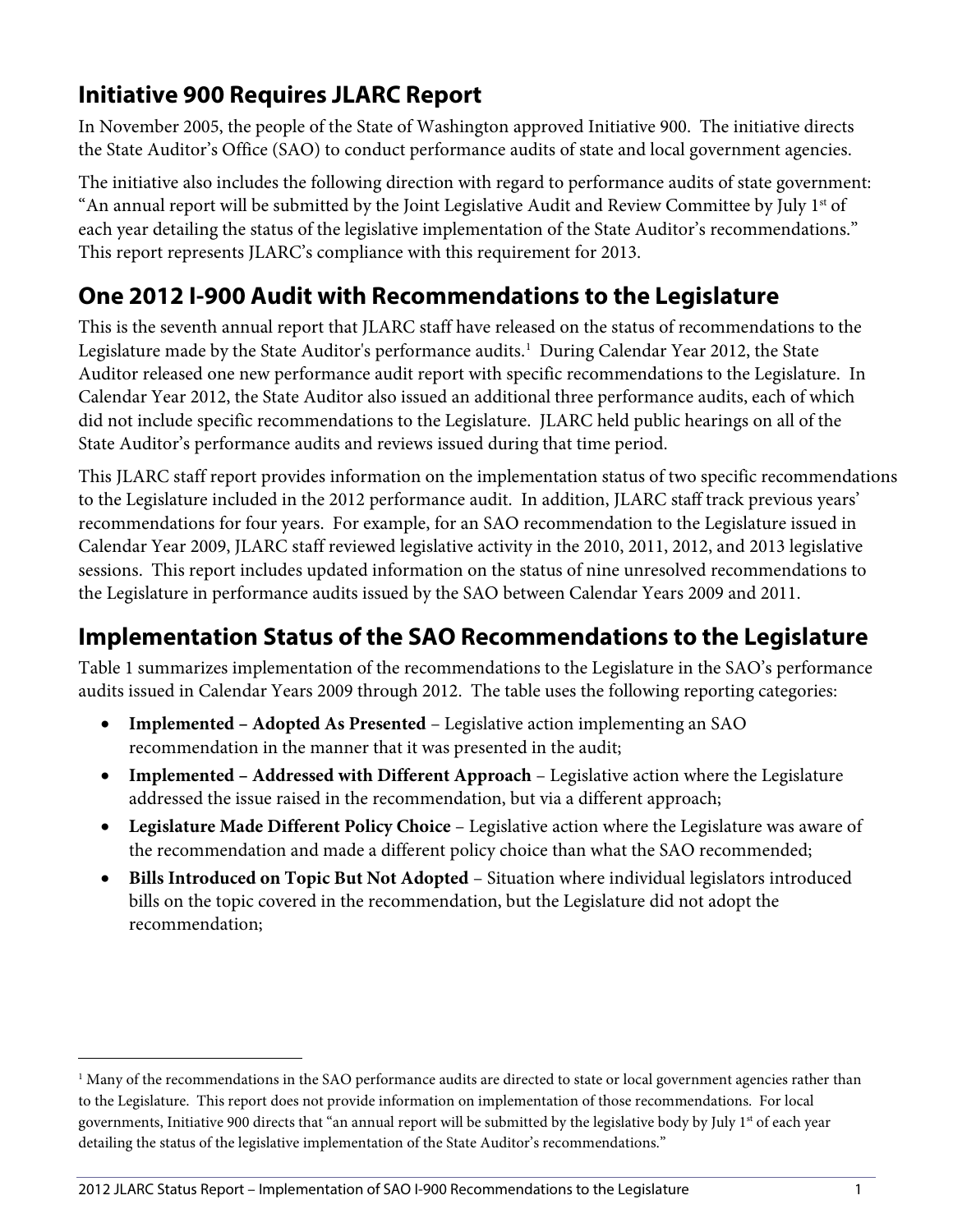## **Initiative 900 Requires JLARC Report**

In November 2005, the people of the State of Washington approved Initiative 900. The initiative directs the State Auditor's Office (SAO) to conduct performance audits of state and local government agencies.

The initiative also includes the following direction with regard to performance audits of state government: "An annual report will be submitted by the Joint Legislative Audit and Review Committee by July  $1<sup>st</sup>$  of each year detailing the status of the legislative implementation of the State Auditor's recommendations." This report represents JLARC's compliance with this requirement for 2013.

## **One 2012 I-900 Audit with Recommendations to the Legislature**

This is the seventh annual report that JLARC staff have released on the status of recommendations to the Legislature made by the State Auditor's performance audits.[1](#page-4-0) During Calendar Year 2012, the State Auditor released one new performance audit report with specific recommendations to the Legislature. In Calendar Year 2012, the State Auditor also issued an additional three performance audits, each of which did not include specific recommendations to the Legislature. JLARC held public hearings on all of the State Auditor's performance audits and reviews issued during that time period.

This JLARC staff report provides information on the implementation status of two specific recommendations to the Legislature included in the 2012 performance audit. In addition, JLARC staff track previous years' recommendations for four years. For example, for an SAO recommendation to the Legislature issued in Calendar Year 2009, JLARC staff reviewed legislative activity in the 2010, 2011, 2012, and 2013 legislative sessions. This report includes updated information on the status of nine unresolved recommendations to the Legislature in performance audits issued by the SAO between Calendar Years 2009 and 2011.

## **Implementation Status of the SAO Recommendations to the Legislature**

Table 1 summarizes implementation of the recommendations to the Legislature in the SAO's performance audits issued in Calendar Years 2009 through 2012. The table uses the following reporting categories:

- **Implemented Adopted As Presented** Legislative action implementing an SAO recommendation in the manner that it was presented in the audit;
- **Implemented Addressed with Different Approach** Legislative action where the Legislature addressed the issue raised in the recommendation, but via a different approach;
- **Legislature Made Different Policy Choice** Legislative action where the Legislature was aware of the recommendation and made a different policy choice than what the SAO recommended;
- **Bills Introduced on Topic But Not Adopted** Situation where individual legislators introduced bills on the topic covered in the recommendation, but the Legislature did not adopt the recommendation;

I

<span id="page-4-0"></span> $<sup>1</sup>$  Many of the recommendations in the SAO performance audits are directed to state or local government agencies rather than</sup> to the Legislature. This report does not provide information on implementation of those recommendations. For local governments, Initiative 900 directs that "an annual report will be submitted by the legislative body by July 1<sup>st</sup> of each year detailing the status of the legislative implementation of the State Auditor's recommendations."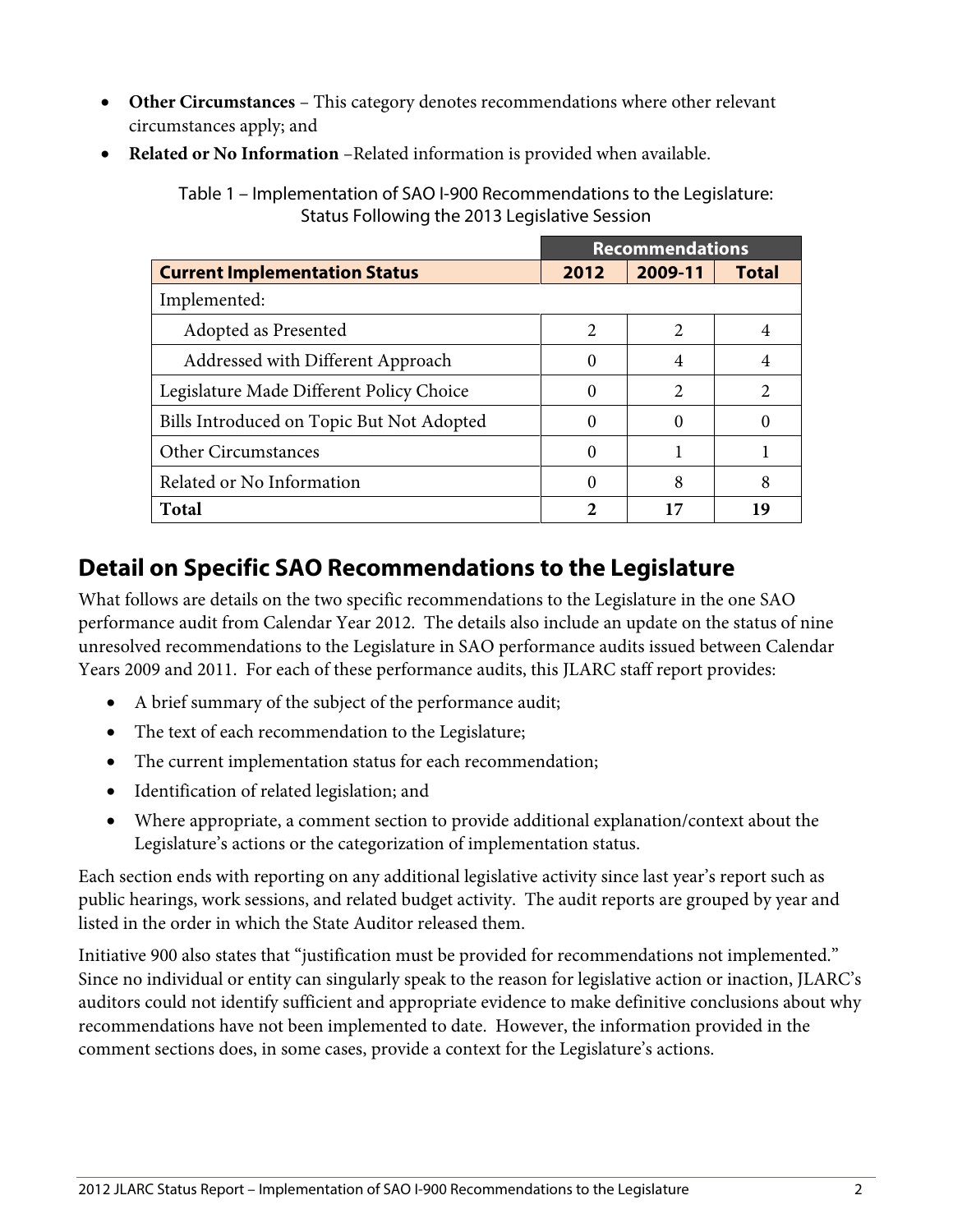- **Other Circumstances** This category denotes recommendations where other relevant circumstances apply; and
- **Related or No Information** –Related information is provided when available.

Table 1 – Implementation of SAO I-900 Recommendations to the Legislature: Status Following the 2013 Legislative Session

|                                           | <b>Recommendations</b> |                |              |  |
|-------------------------------------------|------------------------|----------------|--------------|--|
| <b>Current Implementation Status</b>      | 2012                   | 2009-11        | <b>Total</b> |  |
| Implemented:                              |                        |                |              |  |
| Adopted as Presented                      | $\mathcal{L}$          | $\mathcal{L}$  |              |  |
| Addressed with Different Approach         | $\Omega$               | $\overline{4}$ |              |  |
| Legislature Made Different Policy Choice  | $\Omega$               | $\mathcal{L}$  | 2            |  |
| Bills Introduced on Topic But Not Adopted |                        |                |              |  |
| <b>Other Circumstances</b>                |                        |                |              |  |
| Related or No Information                 | $\Omega$               | 8              | 8            |  |
| Total                                     | າ                      | 17             | 19           |  |

## **Detail on Specific SAO Recommendations to the Legislature**

What follows are details on the two specific recommendations to the Legislature in the one SAO performance audit from Calendar Year 2012. The details also include an update on the status of nine unresolved recommendations to the Legislature in SAO performance audits issued between Calendar Years 2009 and 2011. For each of these performance audits, this JLARC staff report provides:

- A brief summary of the subject of the performance audit;
- The text of each recommendation to the Legislature;
- The current implementation status for each recommendation;
- Identification of related legislation; and
- Where appropriate, a comment section to provide additional explanation/context about the Legislature's actions or the categorization of implementation status.

Each section ends with reporting on any additional legislative activity since last year's report such as public hearings, work sessions, and related budget activity. The audit reports are grouped by year and listed in the order in which the State Auditor released them.

Initiative 900 also states that "justification must be provided for recommendations not implemented." Since no individual or entity can singularly speak to the reason for legislative action or inaction, JLARC's auditors could not identify sufficient and appropriate evidence to make definitive conclusions about why recommendations have not been implemented to date. However, the information provided in the comment sections does, in some cases, provide a context for the Legislature's actions.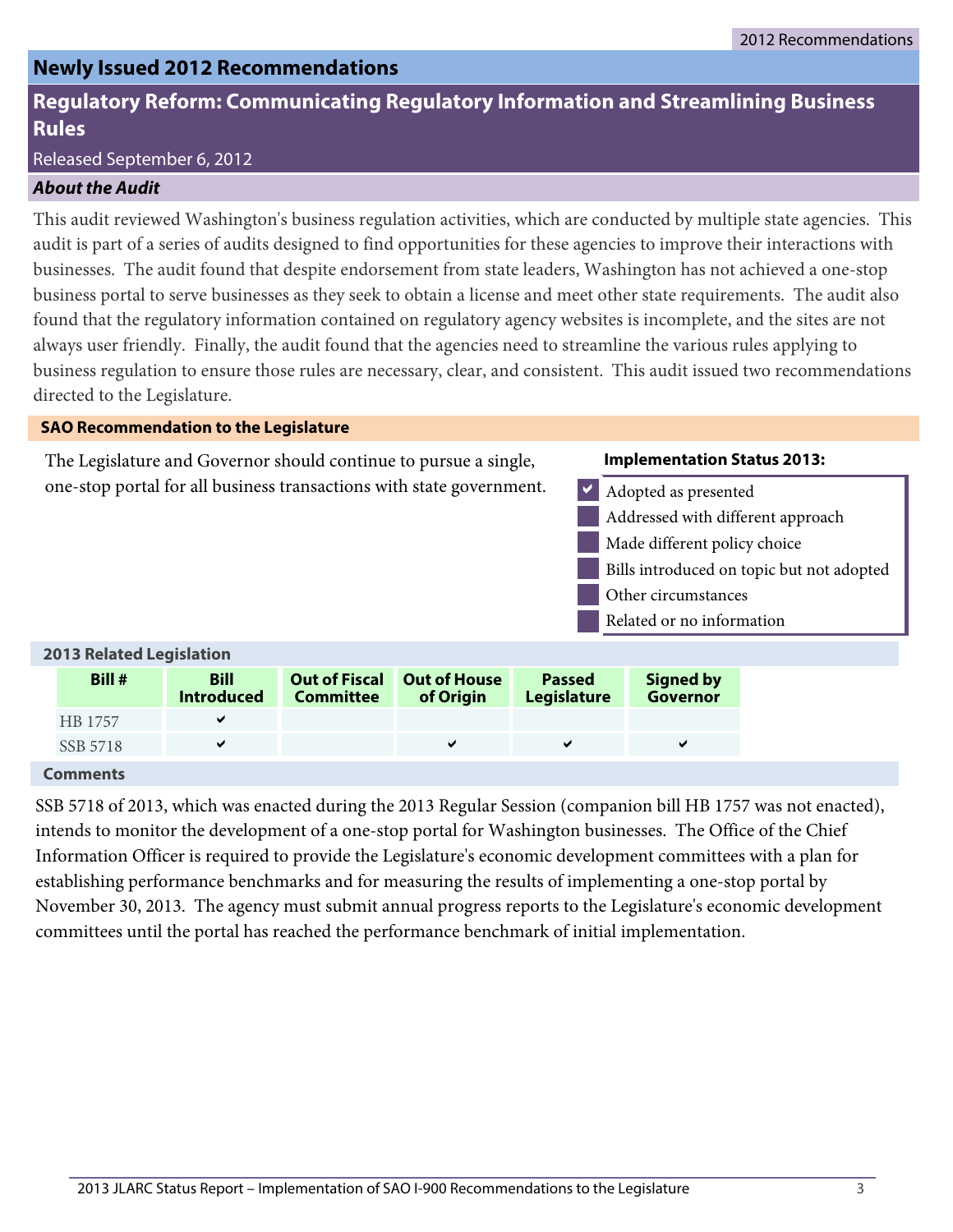### **Newly Issued 2012 Recommendations**

## **Regulatory Reform: Communicating Regulatory Information and Streamlining Business Rules**

#### Released September 6, 2012

#### **About the Audit**

This audit reviewed Washington's business regulation activities, which are conducted by multiple state agencies. This audit is part of a series of audits designed to find opportunities for these agencies to improve their interactions with businesses. The audit found that despite endorsement from state leaders, Washington has not achieved a one-stop business portal to serve businesses as they seek to obtain a license and meet other state requirements. The audit also found that the regulatory information contained on regulatory agency websites is incomplete, and the sites are not always user friendly. Finally, the audit found that the agencies need to streamline the various rules applying to business regulation to ensure those rules are necessary, clear, and consistent. This audit issued two recommendations directed to the Legislature.

#### **SAO Recommendation to the Legislature**



## SSB 5718 of 2013, which was enacted during the 2013 Regular Session (companion bill HB 1757 was not enacted), intends to monitor the development of a one-stop portal for Washington businesses. The Office of the Chief Information Officer is required to provide the Legislature's economic development committees with a plan for establishing performance benchmarks and for measuring the results of implementing a one-stop portal by November 30, 2013. The agency must submit annual progress reports to the Legislature's economic development committees until the portal has reached the performance benchmark of initial implementation.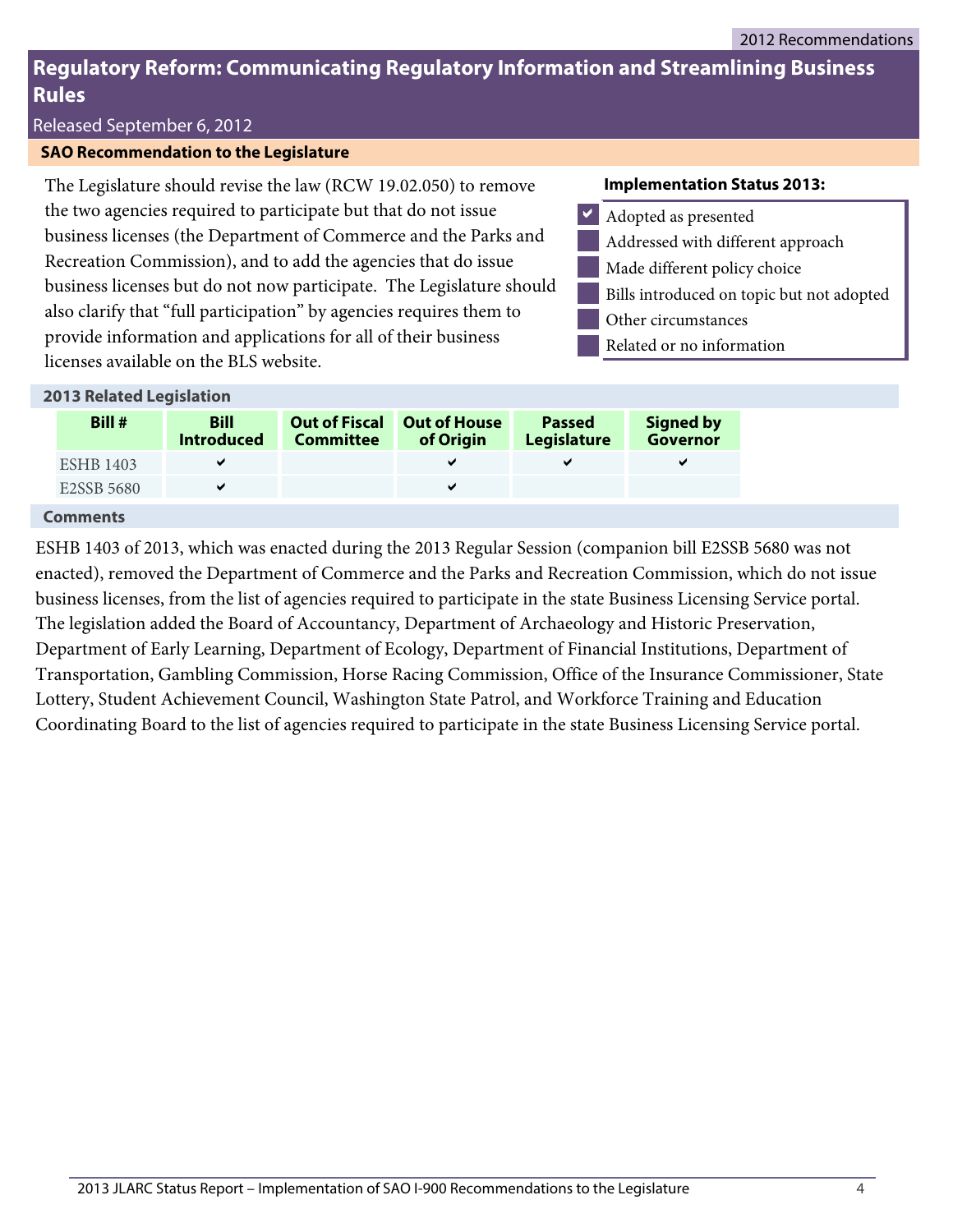## **Regulatory Reform: Communicating Regulatory Information and Streamlining Business Rules**

#### Released September 6, 2012

#### **SAO Recommendation to the Legislature**

The Legislature should revise the law (RCW 19.02.050) to remove the two agencies required to participate but that do not issue business licenses (the Department of Commerce and the Parks and Recreation Commission), and to add the agencies that do issue business licenses but do not now participate. The Legislature should also clarify that "full participation" by agencies requires them to provide information and applications for all of their business licenses available on the BLS website.

#### **Implementation Status 2013:**

- Adopted as presented
- Addressed with different approach
- Made different policy choice
- Bills introduced on topic but not adopted
- Other circumstances
- Related or no information

| <b>2013 Related Legislation</b> |                  |                                  |                                          |                                  |                              |                                     |  |  |  |
|---------------------------------|------------------|----------------------------------|------------------------------------------|----------------------------------|------------------------------|-------------------------------------|--|--|--|
|                                 | Bill #           | <b>Bill</b><br><b>Introduced</b> | <b>Out of Fiscal</b><br><b>Committee</b> | <b>Out of House</b><br>of Origin | <b>Passed</b><br>Legislature | <b>Signed by</b><br><b>Governor</b> |  |  |  |
|                                 | <b>ESHB</b> 1403 |                                  |                                          | ✔                                | ✔                            | ✔                                   |  |  |  |
|                                 | E2SSB 5680       |                                  |                                          | ✔                                |                              |                                     |  |  |  |
|                                 |                  |                                  |                                          |                                  |                              |                                     |  |  |  |

#### **Comments**

ESHB 1403 of 2013, which was enacted during the 2013 Regular Session (companion bill E2SSB 5680 was not enacted), removed the Department of Commerce and the Parks and Recreation Commission, which do not issue business licenses, from the list of agencies required to participate in the state Business Licensing Service portal. The legislation added the Board of Accountancy, Department of Archaeology and Historic Preservation, Department of Early Learning, Department of Ecology, Department of Financial Institutions, Department of Transportation, Gambling Commission, Horse Racing Commission, Office of the Insurance Commissioner, State Lottery, Student Achievement Council, Washington State Patrol, and Workforce Training and Education Coordinating Board to the list of agencies required to participate in the state Business Licensing Service portal.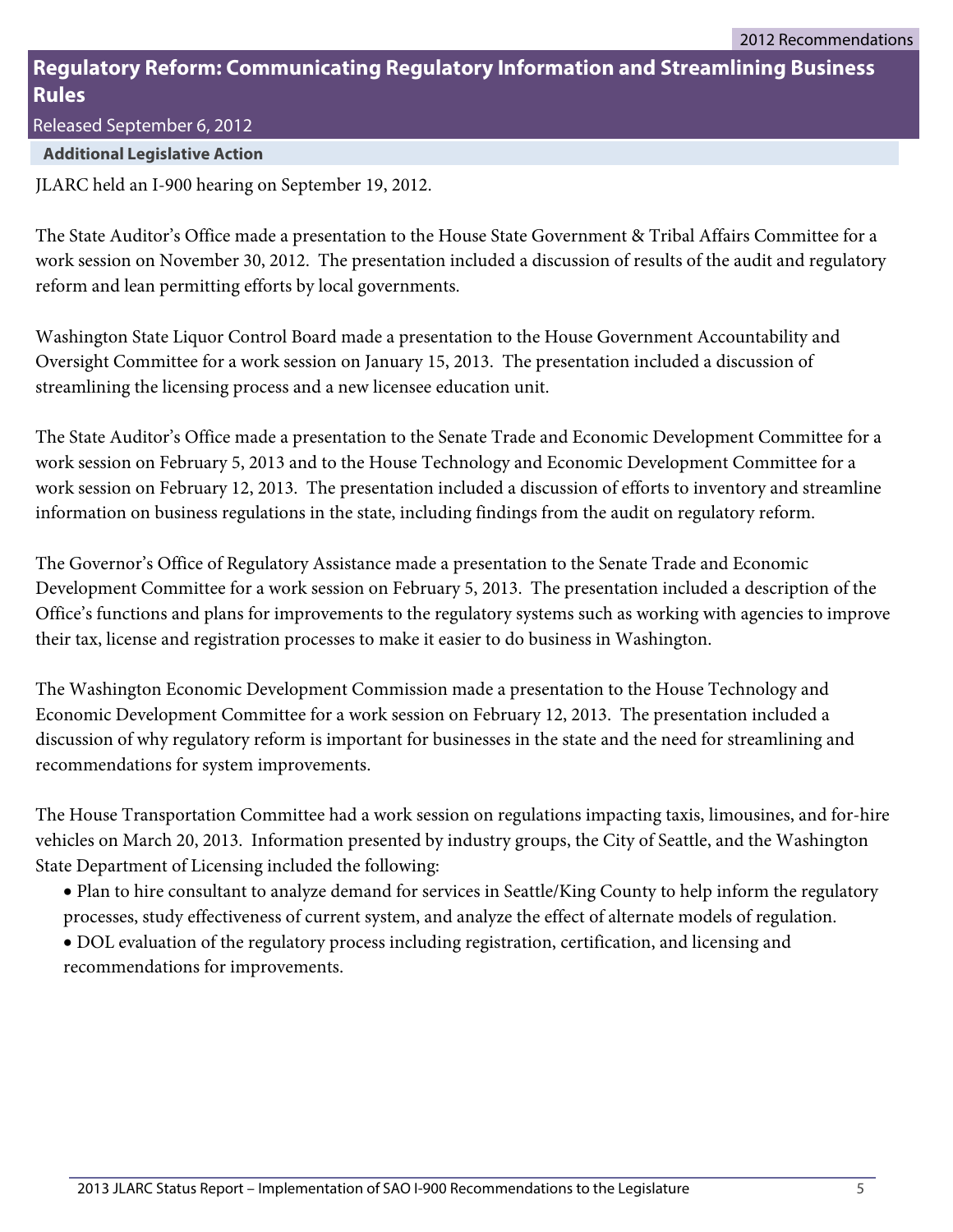## **Regulatory Reform: Communicating Regulatory Information and Streamlining Business Rules**

Released September 6, 2012

**Additional Legislative Action**

JLARC held an I-900 hearing on September 19, 2012.

The State Auditor's Office made a presentation to the House State Government & Tribal Affairs Committee for a work session on November 30, 2012. The presentation included a discussion of results of the audit and regulatory reform and lean permitting efforts by local governments.

Washington State Liquor Control Board made a presentation to the House Government Accountability and Oversight Committee for a work session on January 15, 2013. The presentation included a discussion of streamlining the licensing process and a new licensee education unit.

The State Auditor's Office made a presentation to the Senate Trade and Economic Development Committee for a work session on February 5, 2013 and to the House Technology and Economic Development Committee for a work session on February 12, 2013. The presentation included a discussion of efforts to inventory and streamline information on business regulations in the state, including findings from the audit on regulatory reform.

The Governor's Office of Regulatory Assistance made a presentation to the Senate Trade and Economic Development Committee for a work session on February 5, 2013. The presentation included a description of the Office's functions and plans for improvements to the regulatory systems such as working with agencies to improve their tax, license and registration processes to make it easier to do business in Washington.

The Washington Economic Development Commission made a presentation to the House Technology and Economic Development Committee for a work session on February 12, 2013. The presentation included a discussion of why regulatory reform is important for businesses in the state and the need for streamlining and recommendations for system improvements.

The House Transportation Committee had a work session on regulations impacting taxis, limousines, and for-hire vehicles on March 20, 2013. Information presented by industry groups, the City of Seattle, and the Washington State Department of Licensing included the following:

- Plan to hire consultant to analyze demand for services in Seattle/King County to help inform the regulatory processes, study effectiveness of current system, and analyze the effect of alternate models of regulation.
- DOL evaluation of the regulatory process including registration, certification, and licensing and recommendations for improvements.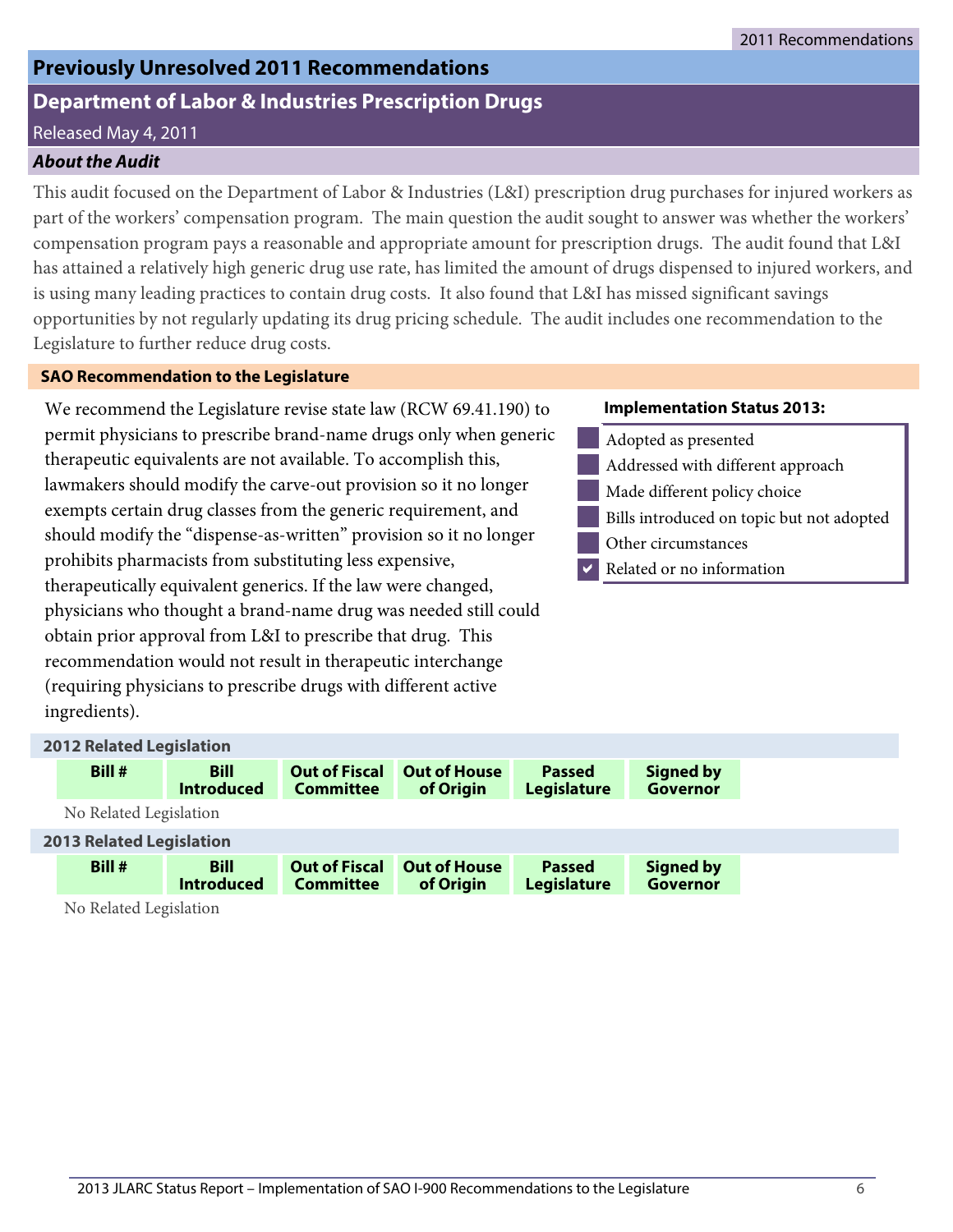## **Previously Unresolved 2011 Recommendations**

#### **Department of Labor & Industries Prescription Drugs**

#### Released May 4, 2011

#### **About the Audit**

This audit focused on the Department of Labor & Industries (L&I) prescription drug purchases for injured workers as part of the workers' compensation program. The main question the audit sought to answer was whether the workers' compensation program pays a reasonable and appropriate amount for prescription drugs. The audit found that L&I has attained a relatively high generic drug use rate, has limited the amount of drugs dispensed to injured workers, and is using many leading practices to contain drug costs. It also found that L&I has missed significant savings opportunities by not regularly updating its drug pricing schedule. The audit includes one recommendation to the Legislature to further reduce drug costs.

#### **SAO Recommendation to the Legislature**

We recommend the Legislature revise state law (RCW 69.41.190) to permit physicians to prescribe brand-name drugs only when generic therapeutic equivalents are not available. To accomplish this, lawmakers should modify the carve-out provision so it no longer exempts certain drug classes from the generic requirement, and should modify the "dispense-as-written" provision so it no longer prohibits pharmacists from substituting less expensive, therapeutically equivalent generics. If the law were changed, physicians who thought a brand-name drug was needed still could obtain prior approval from L&I to prescribe that drug. This recommendation would not result in therapeutic interchange (requiring physicians to prescribe drugs with different active ingredients).

- Adopted as presented
- Addressed with different approach
- Made different policy choice
- Bills introduced on topic but not adopted
- Other circumstances
- Related or no information  $\overline{\blacktriangledown}$

| <b>2012 Related Legislation</b> |                                 |                                  |                                          |                                  |                              |                                     |  |  |
|---------------------------------|---------------------------------|----------------------------------|------------------------------------------|----------------------------------|------------------------------|-------------------------------------|--|--|
|                                 | Bill #                          | <b>Bill</b><br><b>Introduced</b> | <b>Out of Fiscal</b><br><b>Committee</b> | <b>Out of House</b><br>of Origin | <b>Passed</b><br>Legislature | <b>Signed by</b><br>Governor        |  |  |
|                                 | No Related Legislation          |                                  |                                          |                                  |                              |                                     |  |  |
|                                 | <b>2013 Related Legislation</b> |                                  |                                          |                                  |                              |                                     |  |  |
|                                 | Bill #                          | <b>Bill</b><br><b>Introduced</b> | <b>Out of Fiscal</b><br><b>Committee</b> | <b>Out of House</b><br>of Origin | <b>Passed</b><br>Legislature | <b>Signed by</b><br><b>Governor</b> |  |  |
| No Related Legislation          |                                 |                                  |                                          |                                  |                              |                                     |  |  |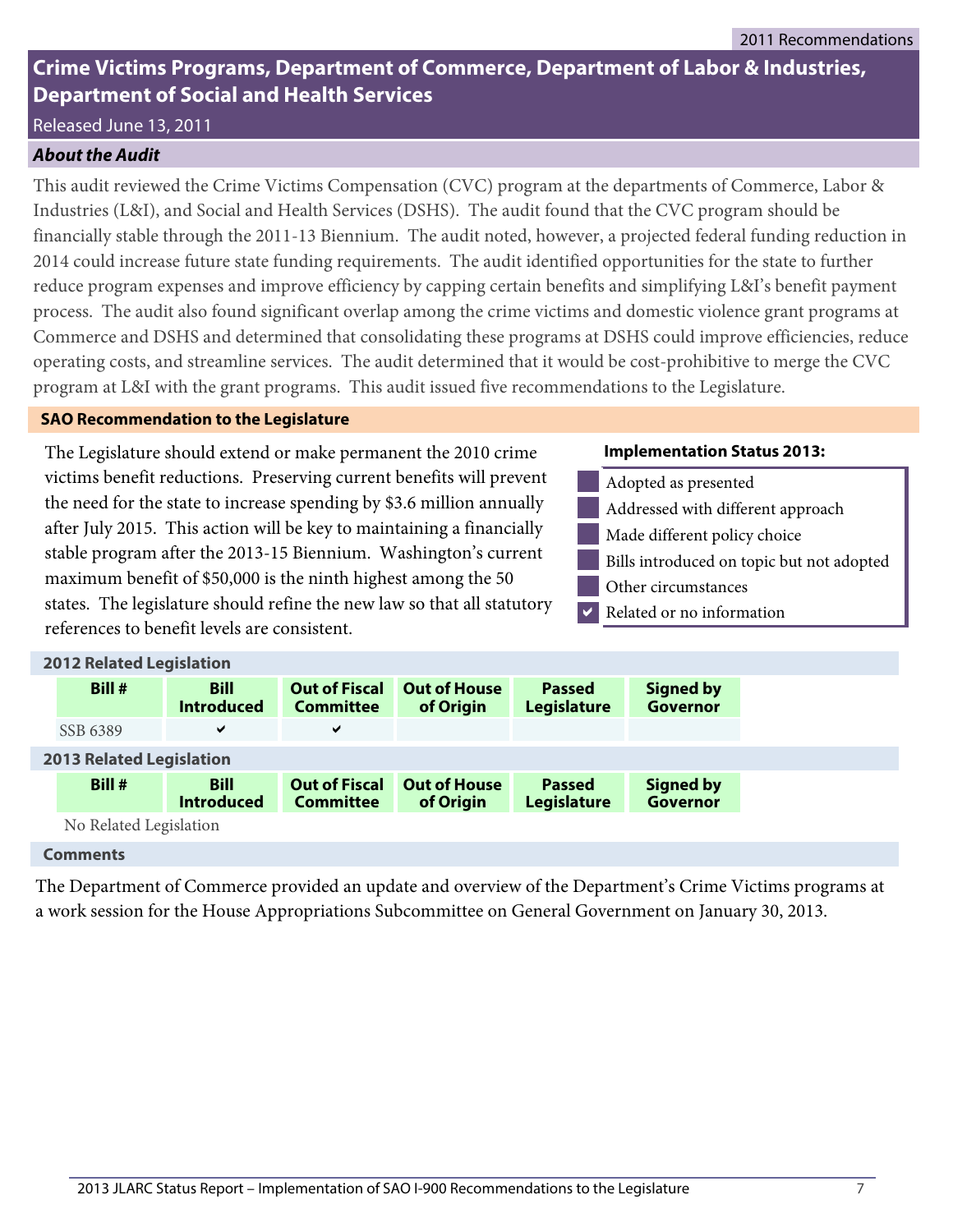## **Crime Victims Programs, Department of Commerce, Department of Labor & Industries, Department of Social and Health Services**

#### Released June 13, 2011

#### **About the Audit**

This audit reviewed the Crime Victims Compensation (CVC) program at the departments of Commerce, Labor & Industries (L&I), and Social and Health Services (DSHS). The audit found that the CVC program should be financially stable through the 2011-13 Biennium. The audit noted, however, a projected federal funding reduction in 2014 could increase future state funding requirements. The audit identified opportunities for the state to further reduce program expenses and improve efficiency by capping certain benefits and simplifying L&I's benefit payment process. The audit also found significant overlap among the crime victims and domestic violence grant programs at Commerce and DSHS and determined that consolidating these programs at DSHS could improve efficiencies, reduce operating costs, and streamline services. The audit determined that it would be cost-prohibitive to merge the CVC program at L&I with the grant programs. This audit issued five recommendations to the Legislature.

#### **SAO Recommendation to the Legislature**

The Legislature should extend or make permanent the 2010 crime victims benefit reductions. Preserving current benefits will prevent the need for the state to increase spending by \$3.6 million annually after July 2015. This action will be key to maintaining a financially stable program after the 2013-15 Biennium. Washington's current maximum benefit of \$50,000 is the ninth highest among the 50 states. The legislature should refine the new law so that all statutory references to benefit levels are consistent.

#### **Implementation Status 2013:**



| <b>2012 Related Legislation</b> |                                 |                                  |                                          |                                  |                              |                                     |  |  |
|---------------------------------|---------------------------------|----------------------------------|------------------------------------------|----------------------------------|------------------------------|-------------------------------------|--|--|
|                                 | Bill #                          | <b>Bill</b><br><b>Introduced</b> | <b>Out of Fiscal</b><br><b>Committee</b> | <b>Out of House</b><br>of Origin | <b>Passed</b><br>Legislature | <b>Signed by</b><br><b>Governor</b> |  |  |
|                                 | SSB 6389                        | ✔                                | $\checkmark$                             |                                  |                              |                                     |  |  |
|                                 | <b>2013 Related Legislation</b> |                                  |                                          |                                  |                              |                                     |  |  |
|                                 | Bill #                          | <b>Bill</b><br><b>Introduced</b> | <b>Out of Fiscal</b><br><b>Committee</b> | <b>Out of House</b><br>of Origin | <b>Passed</b><br>Legislature | <b>Signed by</b><br><b>Governor</b> |  |  |
| No Related Legislation          |                                 |                                  |                                          |                                  |                              |                                     |  |  |

#### **Comments**

The Department of Commerce provided an update and overview of the Department's Crime Victims programs at a work session for the House Appropriations Subcommittee on General Government on January 30, 2013.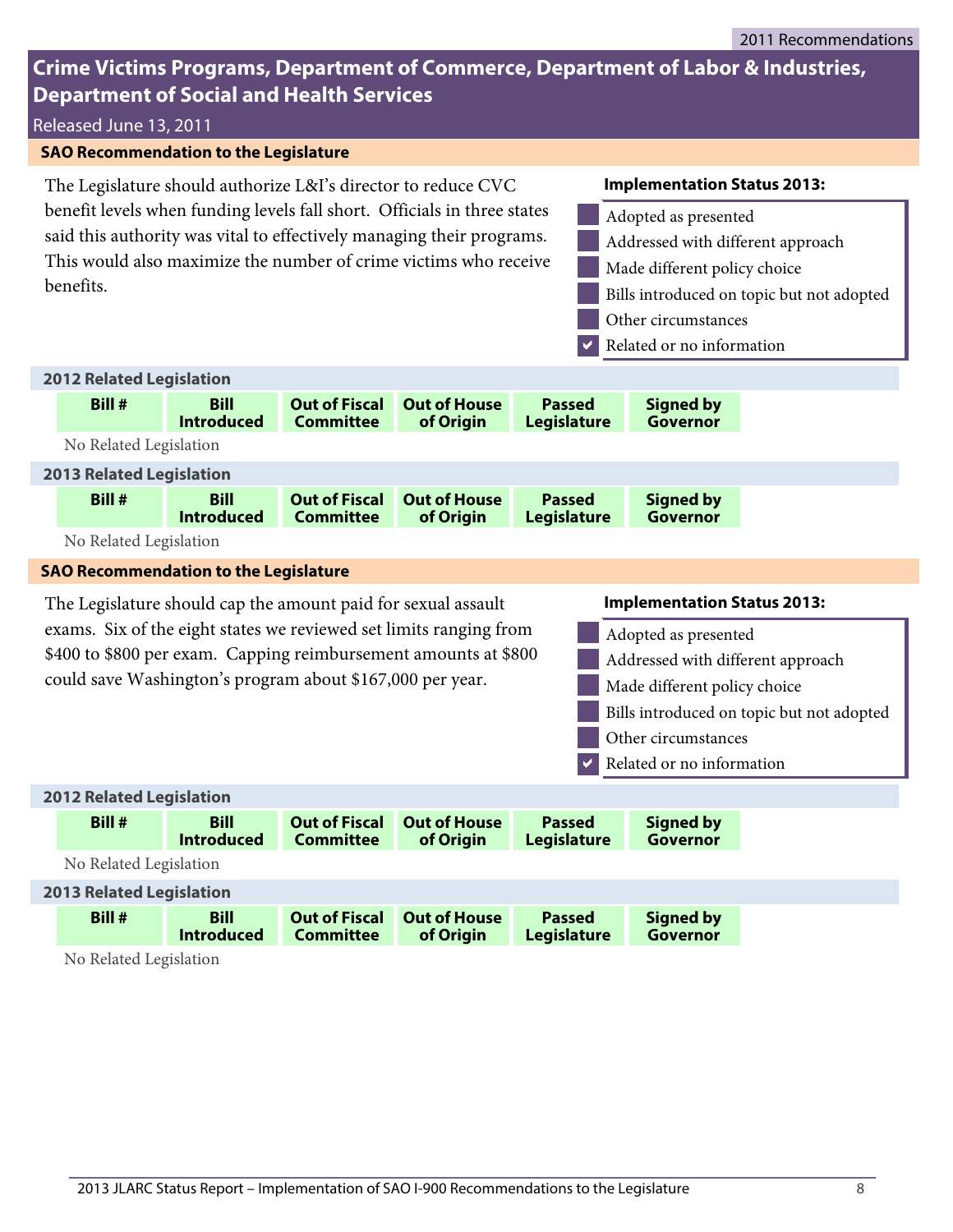## **Crime Victims Programs, Department of Commerce, Department of Labor & Industries, Department of Social and Health Services**

|  | Released June 13, 2011 |  |
|--|------------------------|--|
|  |                        |  |

**2012 Related Legislation**

#### **SAO Recommendation to the Legislature**

The Legislature should authorize L&I's director to reduce CVC benefit levels when funding levels fall short. Officials in three states said this authority was vital to effectively managing their programs. This would also maximize the number of crime victims who receive benefits.



|                                                                                                     | <b>2012 Related Legislation</b>                                                                                                                                                                                                                                                                                                                                                                  |                                              |                                          |                                  |                                     |                                     |  |  |  |  |  |
|-----------------------------------------------------------------------------------------------------|--------------------------------------------------------------------------------------------------------------------------------------------------------------------------------------------------------------------------------------------------------------------------------------------------------------------------------------------------------------------------------------------------|----------------------------------------------|------------------------------------------|----------------------------------|-------------------------------------|-------------------------------------|--|--|--|--|--|
|                                                                                                     | Bill #                                                                                                                                                                                                                                                                                                                                                                                           | <b>Bill</b><br><b>Introduced</b>             | <b>Out of Fiscal</b><br><b>Committee</b> | <b>Out of House</b><br>of Origin | <b>Passed</b><br>Legislature        | <b>Signed by</b><br><b>Governor</b> |  |  |  |  |  |
|                                                                                                     | No Related Legislation                                                                                                                                                                                                                                                                                                                                                                           |                                              |                                          |                                  |                                     |                                     |  |  |  |  |  |
|                                                                                                     | <b>2013 Related Legislation</b>                                                                                                                                                                                                                                                                                                                                                                  |                                              |                                          |                                  |                                     |                                     |  |  |  |  |  |
|                                                                                                     | Bill #                                                                                                                                                                                                                                                                                                                                                                                           | <b>Bill</b><br><b>Introduced</b>             | <b>Out of Fiscal</b><br><b>Committee</b> | <b>Out of House</b><br>of Origin | <b>Passed</b><br><b>Legislature</b> | <b>Signed by</b><br>Governor        |  |  |  |  |  |
|                                                                                                     | No Related Legislation                                                                                                                                                                                                                                                                                                                                                                           |                                              |                                          |                                  |                                     |                                     |  |  |  |  |  |
|                                                                                                     |                                                                                                                                                                                                                                                                                                                                                                                                  | <b>SAO Recommendation to the Legislature</b> |                                          |                                  |                                     |                                     |  |  |  |  |  |
| <b>Implementation Status 2013:</b><br>The Legislature should cap the amount paid for sexual assault |                                                                                                                                                                                                                                                                                                                                                                                                  |                                              |                                          |                                  |                                     |                                     |  |  |  |  |  |
|                                                                                                     | exams. Six of the eight states we reviewed set limits ranging from<br>Adopted as presented<br>\$400 to \$800 per exam. Capping reimbursement amounts at \$800<br>Addressed with different approach<br>could save Washington's program about \$167,000 per year.<br>Made different policy choice<br>Bills introduced on topic but not adopted<br>Other circumstances<br>Related or no information |                                              |                                          |                                  |                                     |                                     |  |  |  |  |  |
|                                                                                                     | <b>2012 Related Legislation</b>                                                                                                                                                                                                                                                                                                                                                                  |                                              |                                          |                                  |                                     |                                     |  |  |  |  |  |
|                                                                                                     | Bill #                                                                                                                                                                                                                                                                                                                                                                                           | <b>Bill</b><br><b>Introduced</b>             | <b>Out of Fiscal</b><br><b>Committee</b> | <b>Out of House</b><br>of Origin | <b>Passed</b><br>Legislature        | <b>Signed by</b><br><b>Governor</b> |  |  |  |  |  |
|                                                                                                     | No Related Legislation                                                                                                                                                                                                                                                                                                                                                                           |                                              |                                          |                                  |                                     |                                     |  |  |  |  |  |
|                                                                                                     | <b>2013 Related Legislation</b>                                                                                                                                                                                                                                                                                                                                                                  |                                              |                                          |                                  |                                     |                                     |  |  |  |  |  |
|                                                                                                     | Bill #                                                                                                                                                                                                                                                                                                                                                                                           | <b>Bill</b><br><b>Introduced</b>             | <b>Out of Fiscal</b><br><b>Committee</b> | <b>Out of House</b><br>of Origin | <b>Passed</b><br><b>Legislature</b> | <b>Signed by</b><br>Governor        |  |  |  |  |  |
|                                                                                                     |                                                                                                                                                                                                                                                                                                                                                                                                  |                                              | No Related Legislation                   |                                  |                                     |                                     |  |  |  |  |  |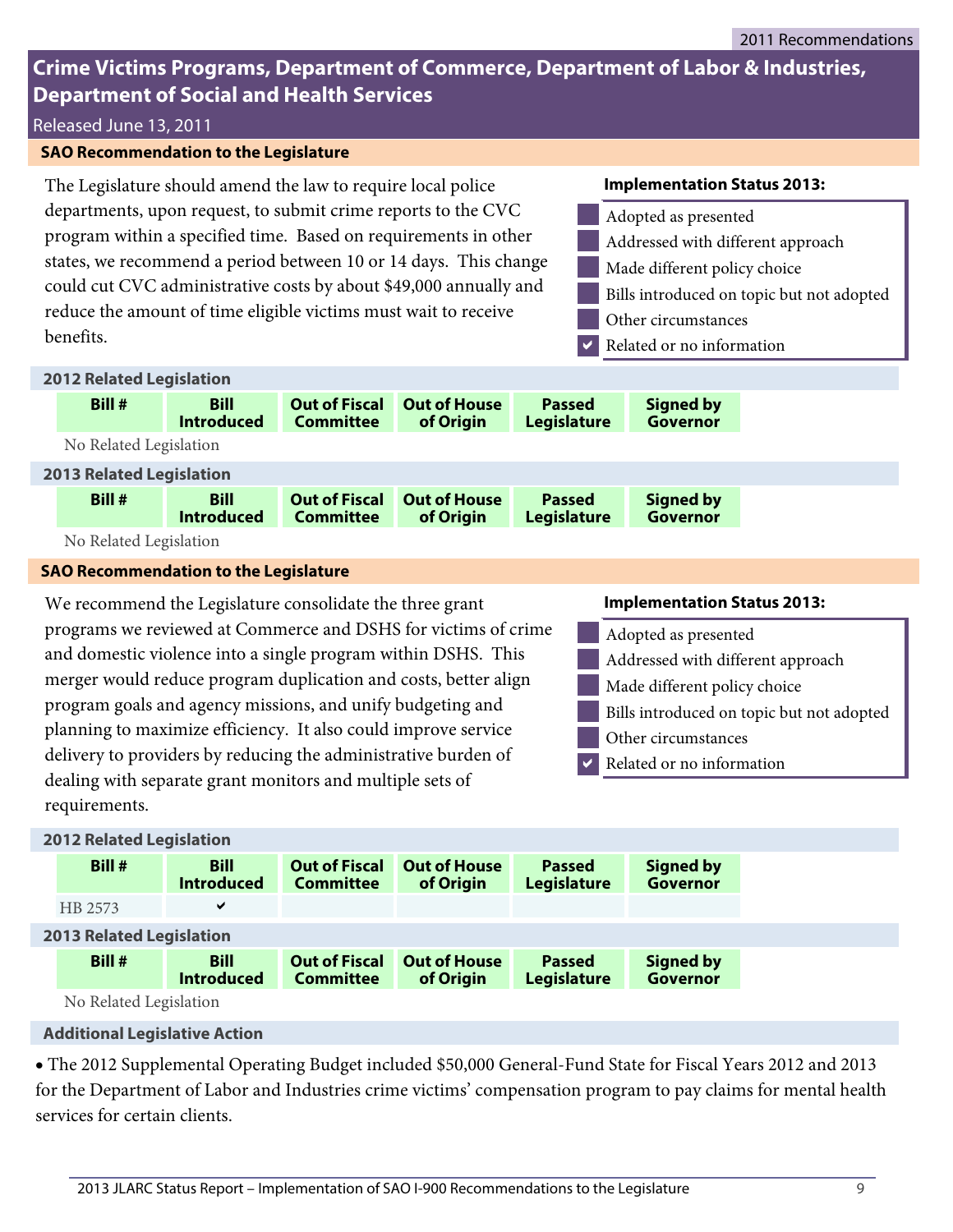## **Crime Victims Programs, Department of Commerce, Department of Labor & Industries, Department of Social and Health Services**

Released June 13, 2011

#### **SAO Recommendation to the Legislature**

The Legislature should amend the law to require local police departments, upon request, to submit crime reports to the CVC program within a specified time. Based on requirements in other states, we recommend a period between 10 or 14 days. This change could cut CVC administrative costs by about \$49,000 annually and reduce the amount of time eligible victims must wait to receive benefits.

#### **Implementation Status 2013:**



Addressed with different approach

Made different policy choice

Bills introduced on topic but not adopted

Other circumstances

Related or no information  $\blacktriangledown$ 



programs we reviewed at Commerce and DSHS for victims of crime and domestic violence into a single program within DSHS. This merger would reduce program duplication and costs, better align program goals and agency missions, and unify budgeting and planning to maximize efficiency. It also could improve service delivery to providers by reducing the administrative burden of dealing with separate grant monitors and multiple sets of requirements.

Adopted as presented

Addressed with different approach

Made different policy choice

Bills introduced on topic but not adopted

Other circumstances

Related or no information  $\blacktriangledown$ 

#### **2012 Related Legislation**

| Bill #                          | <b>Bill</b><br><b>Introduced</b> | <b>Out of Fiscal</b><br><b>Committee</b> | <b>Out of House</b><br>of Origin | <b>Passed</b><br>Legislature | <b>Signed by</b><br>Governor        |  |  |  |
|---------------------------------|----------------------------------|------------------------------------------|----------------------------------|------------------------------|-------------------------------------|--|--|--|
| HB 2573                         | ✔                                |                                          |                                  |                              |                                     |  |  |  |
| <b>2013 Related Legislation</b> |                                  |                                          |                                  |                              |                                     |  |  |  |
| Bill #                          | <b>Bill</b><br><b>Introduced</b> | <b>Out of Fiscal</b><br><b>Committee</b> | <b>Out of House</b><br>of Origin | <b>Passed</b><br>Legislature | <b>Signed by</b><br><b>Governor</b> |  |  |  |
| No Related Legislation          |                                  |                                          |                                  |                              |                                     |  |  |  |

**Additional Legislative Action**

The 2012 Supplemental Operating Budget included \$50,000 General-Fund State for Fiscal Years 2012 and 2013 for the Department of Labor and Industries crime victims' compensation program to pay claims for mental health services for certain clients.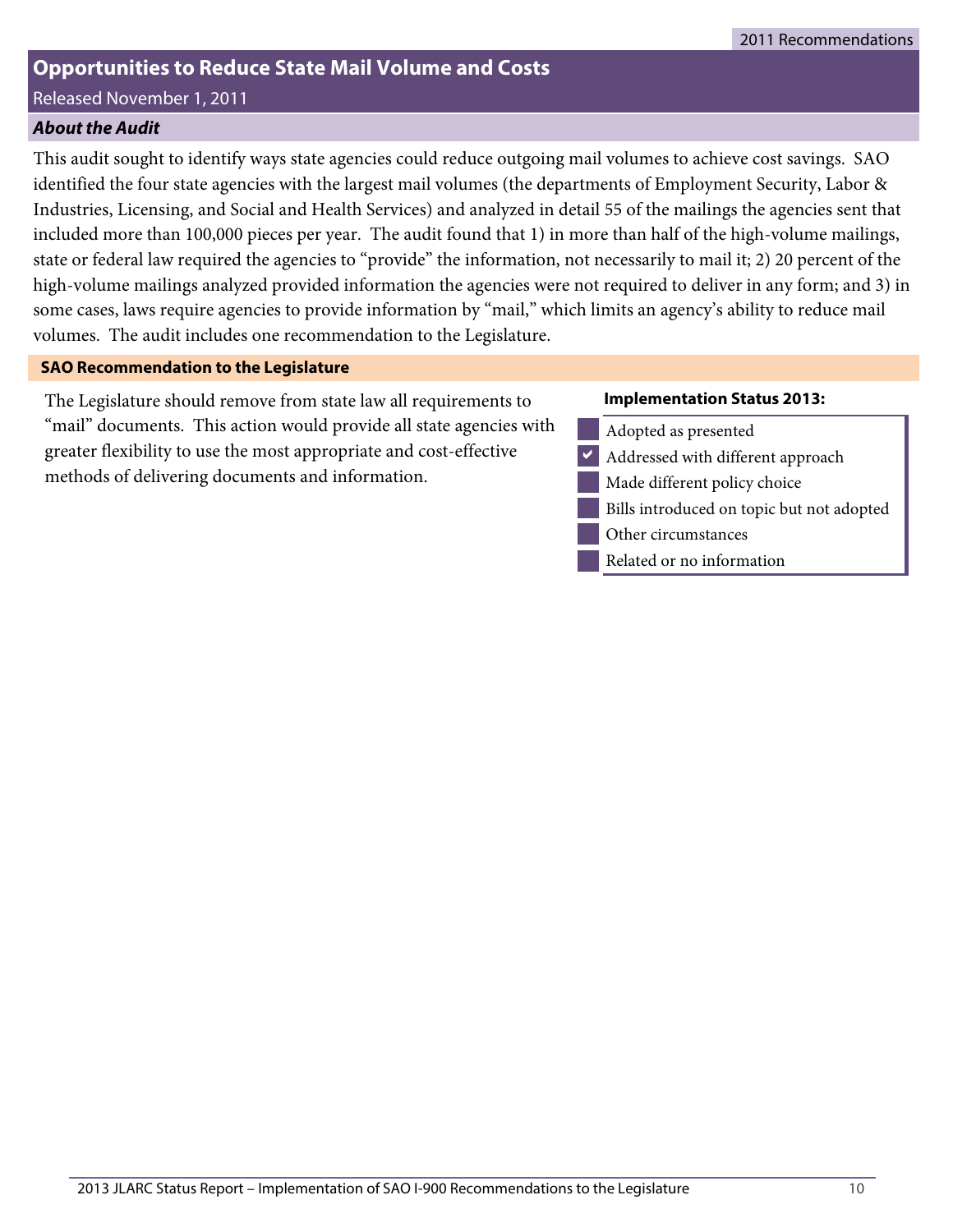#### **Opportunities to Reduce State Mail Volume and Costs**

Released November 1, 2011

#### **About the Audit**

This audit sought to identify ways state agencies could reduce outgoing mail volumes to achieve cost savings. SAO identified the four state agencies with the largest mail volumes (the departments of Employment Security, Labor & Industries, Licensing, and Social and Health Services) and analyzed in detail 55 of the mailings the agencies sent that included more than 100,000 pieces per year. The audit found that 1) in more than half of the high-volume mailings, state or federal law required the agencies to "provide" the information, not necessarily to mail it; 2) 20 percent of the high-volume mailings analyzed provided information the agencies were not required to deliver in any form; and 3) in some cases, laws require agencies to provide information by "mail," which limits an agency's ability to reduce mail volumes. The audit includes one recommendation to the Legislature.

#### **SAO Recommendation to the Legislature**

The Legislature should remove from state law all requirements to "mail" documents. This action would provide all state agencies with greater flexibility to use the most appropriate and cost-effective methods of delivering documents and information.

- Adopted as presented
- Addressed with different approach  $\blacktriangledown$
- Made different policy choice
- Bills introduced on topic but not adopted
- Other circumstances
- Related or no information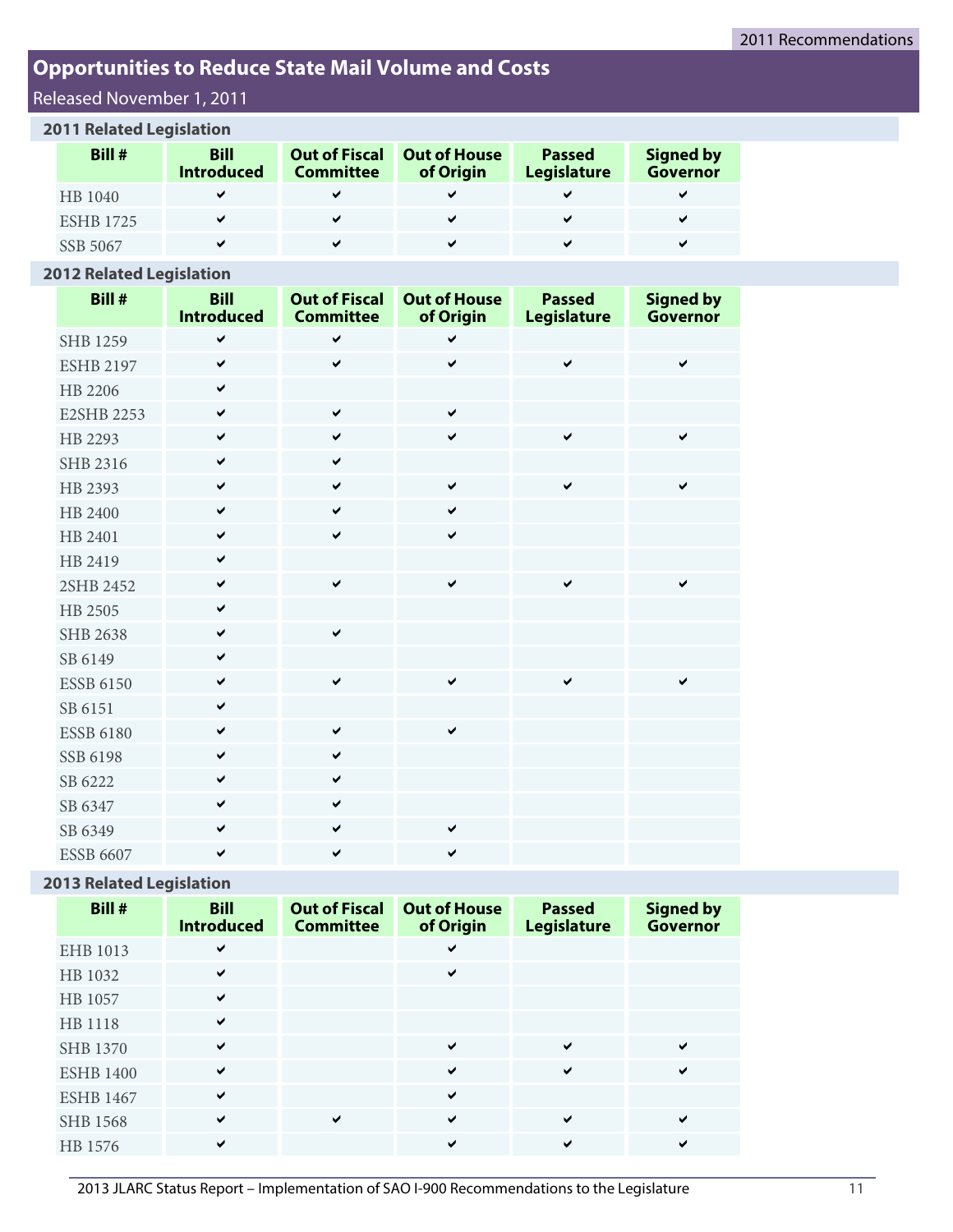## **Opportunities to Reduce State Mail Volume and Costs**

#### Released November 1, 2011

| <b>2011 Related Legislation</b> |                                  |                                          |                                  |                                     |                                     |  |  |  |  |
|---------------------------------|----------------------------------|------------------------------------------|----------------------------------|-------------------------------------|-------------------------------------|--|--|--|--|
| Bill #                          | <b>Bill</b><br><b>Introduced</b> | <b>Out of Fiscal</b><br><b>Committee</b> | <b>Out of House</b><br>of Origin | <b>Passed</b><br><b>Legislature</b> | <b>Signed by</b><br><b>Governor</b> |  |  |  |  |
| HB 1040                         | ✔                                | ✔                                        | ✔                                | ✔                                   |                                     |  |  |  |  |
| <b>ESHB 1725</b>                |                                  | ✔                                        | ✔                                | ✔                                   | ✔                                   |  |  |  |  |
| SSB 5067                        |                                  |                                          | ✔                                | ✔                                   |                                     |  |  |  |  |

#### **2012 Related Legislation**

| Bill #           | <b>Bill</b><br><b>Introduced</b> | <b>Out of Fiscal</b><br><b>Committee</b> | <b>Out of House</b><br>of Origin | <b>Passed</b><br><b>Legislature</b> | <b>Signed by</b><br><b>Governor</b> |
|------------------|----------------------------------|------------------------------------------|----------------------------------|-------------------------------------|-------------------------------------|
| <b>SHB 1259</b>  | $\checkmark$                     | $\checkmark$                             | $\checkmark$                     |                                     |                                     |
| <b>ESHB 2197</b> | $\checkmark$                     | $\checkmark$                             | $\checkmark$                     | $\checkmark$                        | $\checkmark$                        |
| HB 2206          | ✔                                |                                          |                                  |                                     |                                     |
| E2SHB 2253       | $\checkmark$                     | $\checkmark$                             | $\checkmark$                     |                                     |                                     |
| HB 2293          | $\checkmark$                     | $\checkmark$                             | $\checkmark$                     | ✔                                   | $\checkmark$                        |
| SHB 2316         | $\checkmark$                     | $\checkmark$                             |                                  |                                     |                                     |
| HB 2393          | $\checkmark$                     | $\checkmark$                             | $\checkmark$                     | ✓                                   | $\checkmark$                        |
| HB 2400          | ✔                                | $\checkmark$                             | $\checkmark$                     |                                     |                                     |
| HB 2401          | $\checkmark$                     | $\checkmark$                             | $\checkmark$                     |                                     |                                     |
| HB 2419          | $\checkmark$                     |                                          |                                  |                                     |                                     |
| 2SHB 2452        | $\checkmark$                     | $\checkmark$                             | $\checkmark$                     | ✔                                   | $\checkmark$                        |
| HB 2505          | $\checkmark$                     |                                          |                                  |                                     |                                     |
| <b>SHB 2638</b>  | ✔                                | $\checkmark$                             |                                  |                                     |                                     |
| SB 6149          | $\checkmark$                     |                                          |                                  |                                     |                                     |
| <b>ESSB 6150</b> | $\checkmark$                     | $\checkmark$                             | ✔                                | $\checkmark$                        | $\checkmark$                        |
| SB 6151          | $\checkmark$                     |                                          |                                  |                                     |                                     |
| <b>ESSB 6180</b> | $\checkmark$                     | $\checkmark$                             | $\checkmark$                     |                                     |                                     |
| SSB 6198         | $\checkmark$                     | $\checkmark$                             |                                  |                                     |                                     |
| SB 6222          | $\checkmark$                     | $\checkmark$                             |                                  |                                     |                                     |
| SB 6347          | $\checkmark$                     | $\checkmark$                             |                                  |                                     |                                     |
| SB 6349          | $\checkmark$                     | $\checkmark$                             | ✔                                |                                     |                                     |
| <b>ESSB 6607</b> | ✔                                | ✔                                        | ✔                                |                                     |                                     |

#### **2013 Related Legislation**

| Bill #           | <b>Bill</b><br><b>Introduced</b> | <b>Out of Fiscal</b><br><b>Committee</b> | <b>Out of House</b><br>of Origin | <b>Passed</b><br><b>Legislature</b> | <b>Signed by</b><br>Governor |
|------------------|----------------------------------|------------------------------------------|----------------------------------|-------------------------------------|------------------------------|
| EHB 1013         | ✔                                |                                          | ✔                                |                                     |                              |
| HB 1032          | ✔                                |                                          | ✔                                |                                     |                              |
| HB 1057          | $\checkmark$                     |                                          |                                  |                                     |                              |
| HB 1118          | $\checkmark$                     |                                          |                                  |                                     |                              |
| <b>SHB 1370</b>  | ✔                                |                                          | ✔                                | $\checkmark$                        | ✔                            |
| <b>ESHB 1400</b> | $\checkmark$                     |                                          | $\checkmark$                     | $\checkmark$                        | ✔                            |
| <b>ESHB 1467</b> | $\checkmark$                     |                                          | $\checkmark$                     |                                     |                              |
| <b>SHB 1568</b>  | $\checkmark$                     | $\checkmark$                             | $\checkmark$                     | $\checkmark$                        | ✔                            |
| HB 1576          | ✔                                |                                          | ✔                                | ✔                                   | ✔                            |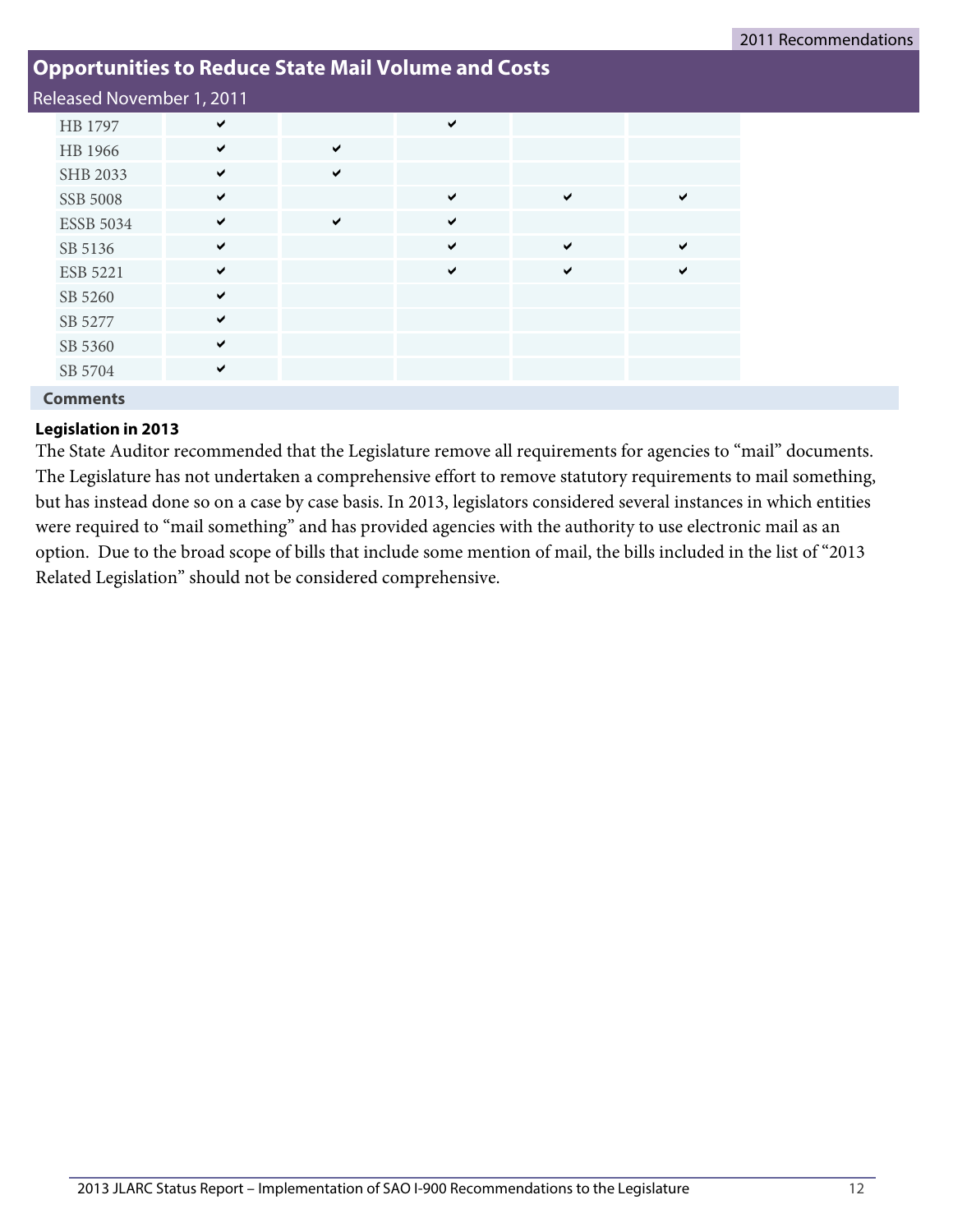#### **Opportunities to Reduce State Mail Volume and Costs**

Released November 1, 2011

| HB 1797          | ✔            |              | ✔            |   |              |
|------------------|--------------|--------------|--------------|---|--------------|
| HB 1966          | $\checkmark$ | $\checkmark$ |              |   |              |
| SHB 2033         | $\checkmark$ | $\checkmark$ |              |   |              |
| <b>SSB 5008</b>  | $\checkmark$ |              | $\checkmark$ | ✔ | $\checkmark$ |
| <b>ESSB 5034</b> | $\checkmark$ | $\checkmark$ | $\checkmark$ |   |              |
| SB 5136          | $\checkmark$ |              | $\checkmark$ | ✔ | $\checkmark$ |
| ESB 5221         | $\checkmark$ |              | $\checkmark$ | ✔ | $\checkmark$ |
| SB 5260          | $\checkmark$ |              |              |   |              |
| SB 5277          | $\checkmark$ |              |              |   |              |
| SB 5360          | $\checkmark$ |              |              |   |              |
| SB 5704          | $\checkmark$ |              |              |   |              |

#### **Comments**

#### **Legislation in 2013**

The State Auditor recommended that the Legislature remove all requirements for agencies to "mail" documents. The Legislature has not undertaken a comprehensive effort to remove statutory requirements to mail something, but has instead done so on a case by case basis. In 2013, legislators considered several instances in which entities were required to "mail something" and has provided agencies with the authority to use electronic mail as an option. Due to the broad scope of bills that include some mention of mail, the bills included in the list of "2013 Related Legislation" should not be considered comprehensive.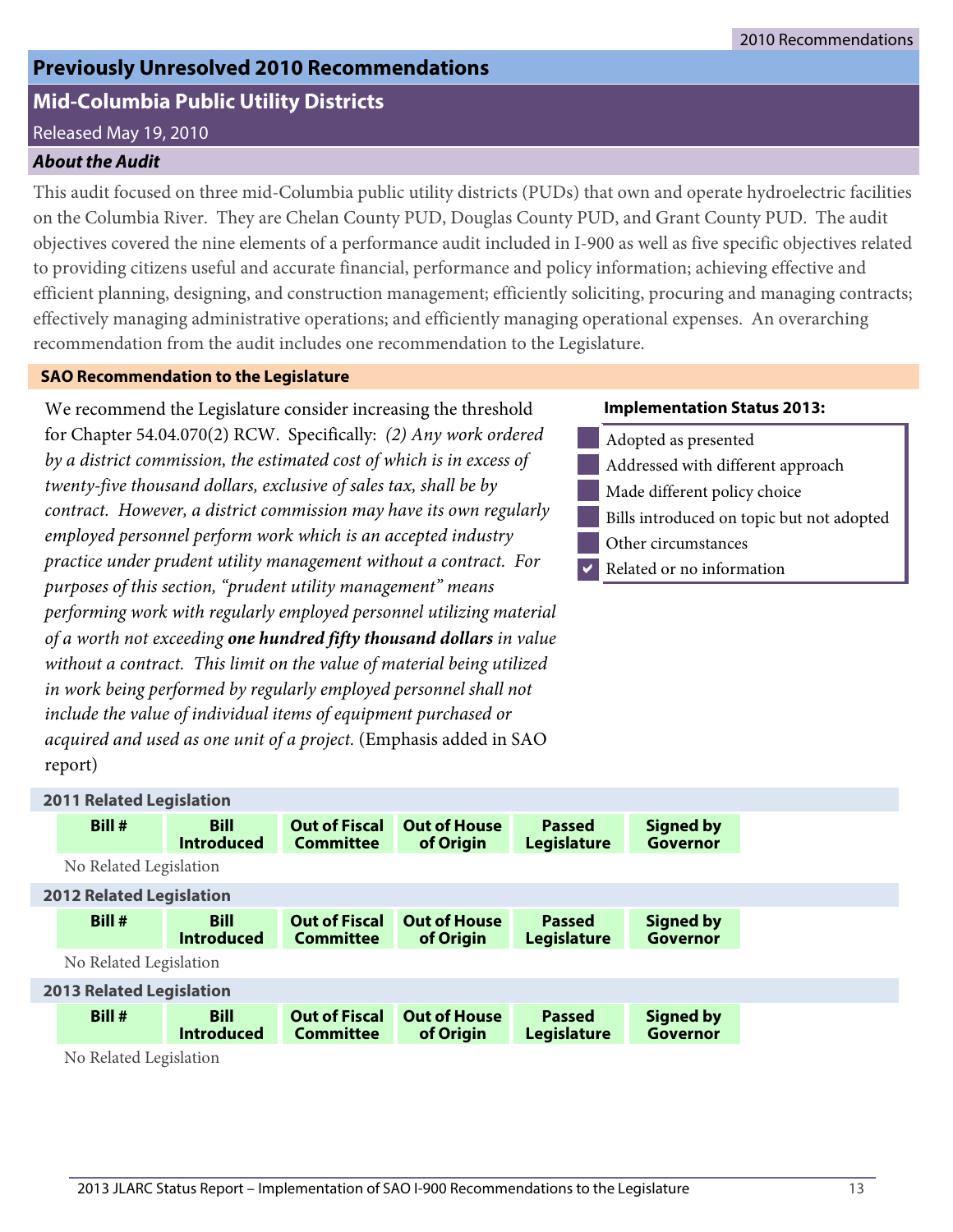## **Previously Unresolved 2010 Recommendations**

#### **Mid-Columbia Public Utility Districts**

#### Released May 19, 2010

#### **About the Audit**

This audit focused on three mid-Columbia public utility districts (PUDs) that own and operate hydroelectric facilities on the Columbia River. They are Chelan County PUD, Douglas County PUD, and Grant County PUD. The audit objectives covered the nine elements of a performance audit included in I-900 as well as five specific objectives related to providing citizens useful and accurate financial, performance and policy information; achieving effective and efficient planning, designing, and construction management; efficiently soliciting, procuring and managing contracts; effectively managing administrative operations; and efficiently managing operational expenses. An overarching recommendation from the audit includes one recommendation to the Legislature.

#### **SAO Recommendation to the Legislature**

We recommend the Legislature consider increasing the threshold for Chapter 54.04.070(2) RCW. Specifically: (2) Any work ordered by a district commission, the estimated cost of which is in excess of twenty-five thousand dollars, exclusive of sales tax, shall be by contract. However, a district commission may have its own regularly employed personnel perform work which is an accepted industry practice under prudent utility management without a contract. For purposes of this section, "prudent utility management" means performing work with regularly employed personnel utilizing material of a worth not exceeding **one hundred fifty thousand dollars** in value without a contract. This limit on the value of material being utilized in work being performed by regularly employed personnel shall not include the value of individual items of equipment purchased or acquired and used as one unit of a project. (Emphasis added in SAO report)

- Adopted as presented
- Addressed with different approach
- Made different policy choice
- Bills introduced on topic but not adopted
- Other circumstances
- Related or no information  $\blacktriangledown$